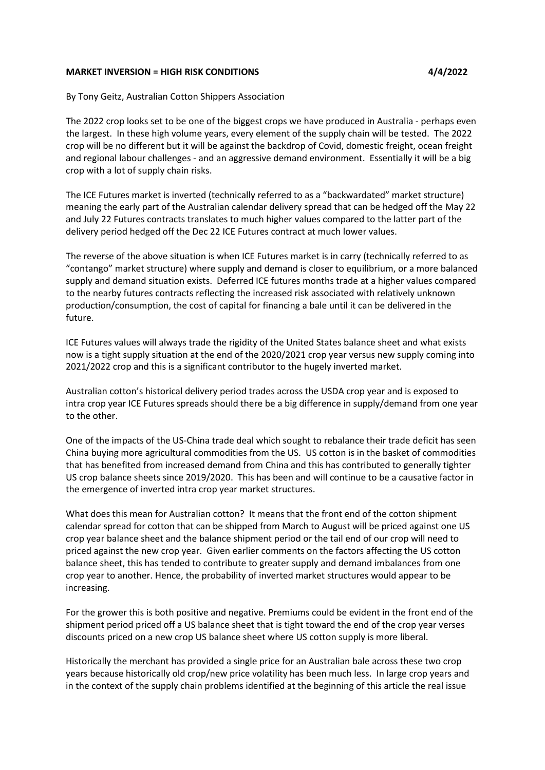## **MARKET INVERSION = HIGH RISK CONDITIONS 4/4/2022**

By Tony Geitz, Australian Cotton Shippers Association

The 2022 crop looks set to be one of the biggest crops we have produced in Australia - perhaps even the largest. In these high volume years, every element of the supply chain will be tested. The 2022 crop will be no different but it will be against the backdrop of Covid, domestic freight, ocean freight and regional labour challenges - and an aggressive demand environment. Essentially it will be a big crop with a lot of supply chain risks.

The ICE Futures market is inverted (technically referred to as a "backwardated" market structure) meaning the early part of the Australian calendar delivery spread that can be hedged off the May 22 and July 22 Futures contracts translates to much higher values compared to the latter part of the delivery period hedged off the Dec 22 ICE Futures contract at much lower values.

The reverse of the above situation is when ICE Futures market is in carry (technically referred to as "contango" market structure) where supply and demand is closer to equilibrium, or a more balanced supply and demand situation exists. Deferred ICE futures months trade at a higher values compared to the nearby futures contracts reflecting the increased risk associated with relatively unknown production/consumption, the cost of capital for financing a bale until it can be delivered in the future.

ICE Futures values will always trade the rigidity of the United States balance sheet and what exists now is a tight supply situation at the end of the 2020/2021 crop year versus new supply coming into 2021/2022 crop and this is a significant contributor to the hugely inverted market.

Australian cotton's historical delivery period trades across the USDA crop year and is exposed to intra crop year ICE Futures spreads should there be a big difference in supply/demand from one year to the other.

One of the impacts of the US-China trade deal which sought to rebalance their trade deficit has seen China buying more agricultural commodities from the US. US cotton is in the basket of commodities that has benefited from increased demand from China and this has contributed to generally tighter US crop balance sheets since 2019/2020. This has been and will continue to be a causative factor in the emergence of inverted intra crop year market structures.

What does this mean for Australian cotton? It means that the front end of the cotton shipment calendar spread for cotton that can be shipped from March to August will be priced against one US crop year balance sheet and the balance shipment period or the tail end of our crop will need to priced against the new crop year. Given earlier comments on the factors affecting the US cotton balance sheet, this has tended to contribute to greater supply and demand imbalances from one crop year to another. Hence, the probability of inverted market structures would appear to be increasing.

For the grower this is both positive and negative. Premiums could be evident in the front end of the shipment period priced off a US balance sheet that is tight toward the end of the crop year verses discounts priced on a new crop US balance sheet where US cotton supply is more liberal.

Historically the merchant has provided a single price for an Australian bale across these two crop years because historically old crop/new price volatility has been much less. In large crop years and in the context of the supply chain problems identified at the beginning of this article the real issue